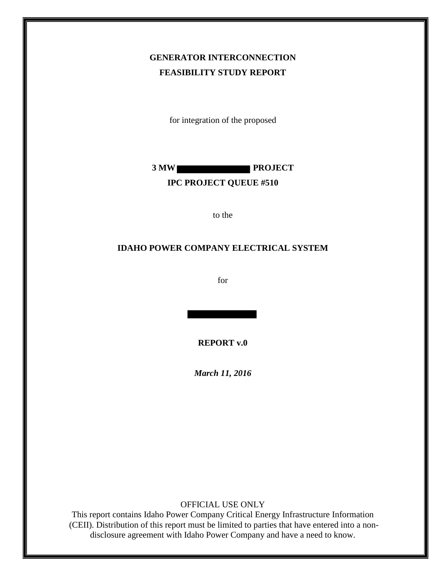## **GENERATOR INTERCONNECTION FEASIBILITY STUDY REPORT**

for integration of the proposed



#### **IPC PROJECT QUEUE #510**

to the

#### **IDAHO POWER COMPANY ELECTRICAL SYSTEM**

for

**REPORT v.0**

*March 11, 2016*

OFFICIAL USE ONLY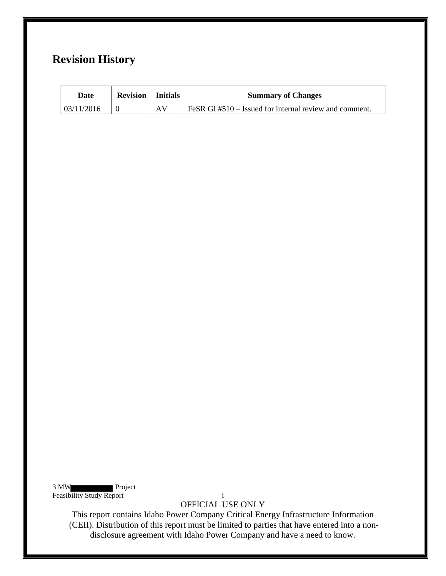## **Revision History**

| Date       | <b>Revision</b>   Initials |    | <b>Summary of Changes</b>                             |
|------------|----------------------------|----|-------------------------------------------------------|
| 03/11/2016 |                            | AV | FeSR GI#510 – Issued for internal review and comment. |

3 MW Project Feasibility Study Report in the study of the study of the study is a study of the study of the study of the study of the study of the study of the study of the study of the study of the study of the study of the study of t

OFFICIAL USE ONLY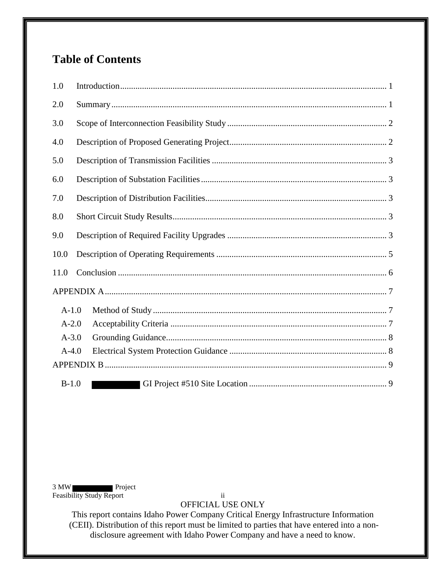# **Table of Contents**

| 1.0     |  |
|---------|--|
| 2.0     |  |
| 3.0     |  |
| 4.0     |  |
| 5.0     |  |
| 6.0     |  |
| 7.0     |  |
| 8.0     |  |
| 9.0     |  |
| 10.0    |  |
| 11.0    |  |
|         |  |
| $A-1.0$ |  |
| $A-2.0$ |  |
| $A-3.0$ |  |
| $A-4.0$ |  |
|         |  |
| $B-1.0$ |  |

3 MW Feasibility Study Report ii

OFFICIAL USE ONLY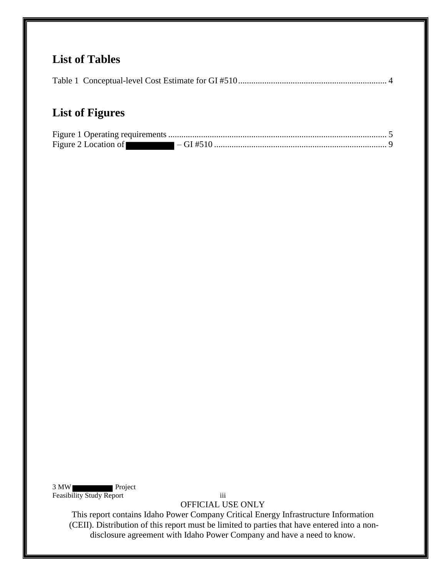## **List of Tables**

|--|

## **List of Figures**

3 MW Feasibility Study Report iii

OFFICIAL USE ONLY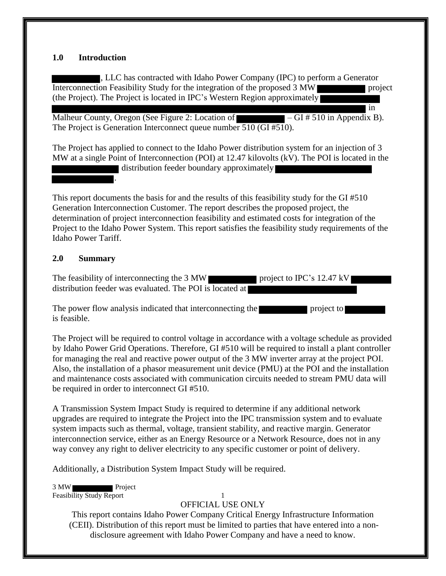#### <span id="page-4-0"></span>**1.0 Introduction**

, LLC has contracted with Idaho Power Company (IPC) to perform a Generator Interconnection Feasibility Study for the integration of the proposed 3 MW project (the Project). The Project is located in IPC's Western Region approximately

in

Malheur County, Oregon (See Figure 2: Location of  $\blacksquare - GI \# 510$  in Appendix B). The Project is Generation Interconnect queue number 510 (GI #510).

The Project has applied to connect to the Idaho Power distribution system for an injection of 3 MW at a single Point of Interconnection (POI) at 12.47 kilovolts (kV). The POI is located in the

distribution feeder boundary approximately

This report documents the basis for and the results of this feasibility study for the GI #510 Generation Interconnection Customer. The report describes the proposed project, the determination of project interconnection feasibility and estimated costs for integration of the Project to the Idaho Power System. This report satisfies the feasibility study requirements of the Idaho Power Tariff.

#### <span id="page-4-1"></span>**2.0 Summary**

.

The feasibility of interconnecting the  $3 \text{ MW}$  project to IPC's 12.47 kV distribution feeder was evaluated. The POI is located at

The power flow analysis indicated that interconnecting the project to is feasible.

The Project will be required to control voltage in accordance with a voltage schedule as provided by Idaho Power Grid Operations. Therefore, GI #510 will be required to install a plant controller for managing the real and reactive power output of the 3 MW inverter array at the project POI. Also, the installation of a phasor measurement unit device (PMU) at the POI and the installation and maintenance costs associated with communication circuits needed to stream PMU data will be required in order to interconnect GI #510.

A Transmission System Impact Study is required to determine if any additional network upgrades are required to integrate the Project into the IPC transmission system and to evaluate system impacts such as thermal, voltage, transient stability, and reactive margin. Generator interconnection service, either as an Energy Resource or a Network Resource, does not in any way convey any right to deliver electricity to any specific customer or point of delivery.

Additionally, a Distribution System Impact Study will be required.

3 MW Project Feasibility Study Report 1

#### OFFICIAL USE ONLY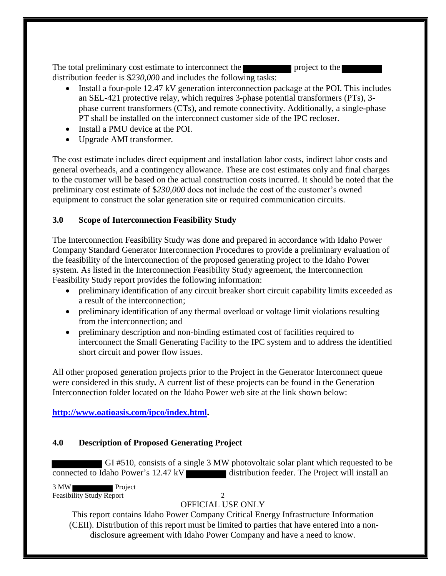The total preliminary cost estimate to interconnect the project to the project to the distribution feeder is \$*230,00*0 and includes the following tasks:

- Install a four-pole 12.47 kV generation interconnection package at the POI. This includes an SEL-421 protective relay, which requires 3-phase potential transformers (PTs), 3 phase current transformers (CTs), and remote connectivity. Additionally, a single-phase PT shall be installed on the interconnect customer side of the IPC recloser.
- Install a PMU device at the POI.
- Upgrade AMI transformer.

The cost estimate includes direct equipment and installation labor costs, indirect labor costs and general overheads, and a contingency allowance. These are cost estimates only and final charges to the customer will be based on the actual construction costs incurred. It should be noted that the preliminary cost estimate of \$*230,000* does not include the cost of the customer's owned equipment to construct the solar generation site or required communication circuits.

## <span id="page-5-0"></span>**3.0 Scope of Interconnection Feasibility Study**

The Interconnection Feasibility Study was done and prepared in accordance with Idaho Power Company Standard Generator Interconnection Procedures to provide a preliminary evaluation of the feasibility of the interconnection of the proposed generating project to the Idaho Power system. As listed in the Interconnection Feasibility Study agreement, the Interconnection Feasibility Study report provides the following information:

- preliminary identification of any circuit breaker short circuit capability limits exceeded as a result of the interconnection;
- preliminary identification of any thermal overload or voltage limit violations resulting from the interconnection; and
- preliminary description and non-binding estimated cost of facilities required to interconnect the Small Generating Facility to the IPC system and to address the identified short circuit and power flow issues.

All other proposed generation projects prior to the Project in the Generator Interconnect queue were considered in this study**.** A current list of these projects can be found in the Generation Interconnection folder located on the Idaho Power web site at the link shown below:

**[http://www.oatioasis.com/ipco/index.html.](http://www.oatioasis.com/ipco/index.html)**

## <span id="page-5-1"></span>**4.0 Description of Proposed Generating Project**

GI #510, consists of a single 3 MW photovoltaic solar plant which requested to be connected to Idaho Power's 12.47 kV

3 MW Project Feasibility Study Report 2

## OFFICIAL USE ONLY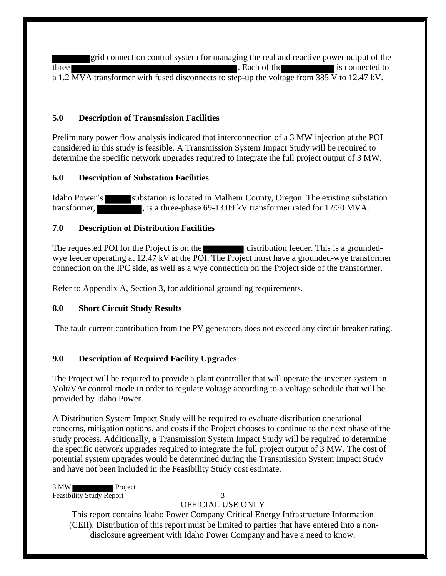grid connection control system for managing the real and reactive power output of the three **the is connected to** is connected to a 1.2 MVA transformer with fused disconnects to step-up the voltage from 385 V to 12.47 kV.

#### <span id="page-6-0"></span>**5.0 Description of Transmission Facilities**

Preliminary power flow analysis indicated that interconnection of a 3 MW injection at the POI considered in this study is feasible. A Transmission System Impact Study will be required to determine the specific network upgrades required to integrate the full project output of 3 MW.

#### <span id="page-6-1"></span>**6.0 Description of Substation Facilities**

Idaho Power's substation is located in Malheur County, Oregon. The existing substation transformer, is a three-phase 69-13.09 kV transformer rated for 12/20 MVA.

#### <span id="page-6-2"></span>**7.0 Description of Distribution Facilities**

The requested POI for the Project is on the distribution feeder. This is a groundedwye feeder operating at 12.47 kV at the POI. The Project must have a grounded-wye transformer connection on the IPC side, as well as a wye connection on the Project side of the transformer.

Refer to Appendix A, Section 3, for additional grounding requirements.

#### <span id="page-6-3"></span>**8.0 Short Circuit Study Results**

The fault current contribution from the PV generators does not exceed any circuit breaker rating.

### <span id="page-6-4"></span>**9.0 Description of Required Facility Upgrades**

The Project will be required to provide a plant controller that will operate the inverter system in Volt/VAr control mode in order to regulate voltage according to a voltage schedule that will be provided by Idaho Power.

A Distribution System Impact Study will be required to evaluate distribution operational concerns, mitigation options, and costs if the Project chooses to continue to the next phase of the study process. Additionally, a Transmission System Impact Study will be required to determine the specific network upgrades required to integrate the full project output of 3 MW. The cost of potential system upgrades would be determined during the Transmission System Impact Study and have not been included in the Feasibility Study cost estimate.

3 MW Project Feasibility Study Report 3

#### OFFICIAL USE ONLY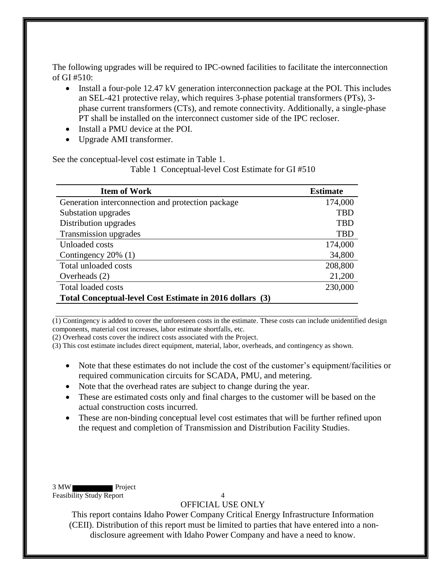The following upgrades will be required to IPC-owned facilities to facilitate the interconnection of GI #510:

- Install a four-pole 12.47 kV generation interconnection package at the POI. This includes an SEL-421 protective relay, which requires 3-phase potential transformers (PTs), 3 phase current transformers (CTs), and remote connectivity. Additionally, a single-phase PT shall be installed on the interconnect customer side of the IPC recloser.
- Install a PMU device at the POI.
- Upgrade AMI transformer.

<span id="page-7-0"></span>See the conceptual-level cost estimate in Table 1.

Table 1 Conceptual-level Cost Estimate for GI #510

| <b>Item of Work</b>                                      | <b>Estimate</b> |
|----------------------------------------------------------|-----------------|
| Generation interconnection and protection package        | 174,000         |
| Substation upgrades                                      | <b>TBD</b>      |
| Distribution upgrades                                    | <b>TBD</b>      |
| Transmission upgrades                                    | <b>TBD</b>      |
| Unloaded costs                                           | 174,000         |
| Contingency $20\%$ (1)                                   | 34,800          |
| Total unloaded costs                                     | 208,800         |
| Overheads $(2)$                                          | 21,200          |
| Total loaded costs                                       | 230,000         |
| Total Conceptual-level Cost Estimate in 2016 dollars (3) |                 |

(1) Contingency is added to cover the unforeseen costs in the estimate. These costs can include unidentified design components, material cost increases, labor estimate shortfalls, etc.

(2) Overhead costs cover the indirect costs associated with the Project.

(3) This cost estimate includes direct equipment, material, labor, overheads, and contingency as shown.

- Note that these estimates do not include the cost of the customer's equipment/facilities or required communication circuits for SCADA, PMU, and metering.
- Note that the overhead rates are subject to change during the year.
- These are estimated costs only and final charges to the customer will be based on the actual construction costs incurred.
- These are non-binding conceptual level cost estimates that will be further refined upon the request and completion of Transmission and Distribution Facility Studies.

3 MW Project Feasibility Study Report 4

#### OFFICIAL USE ONLY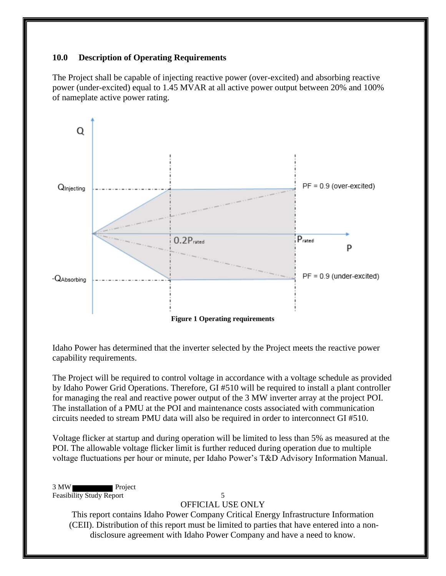#### <span id="page-8-0"></span>**10.0 Description of Operating Requirements**

The Project shall be capable of injecting reactive power (over-excited) and absorbing reactive power (under-excited) equal to 1.45 MVAR at all active power output between 20% and 100% of nameplate active power rating.



<span id="page-8-1"></span>Idaho Power has determined that the inverter selected by the Project meets the reactive power capability requirements.

The Project will be required to control voltage in accordance with a voltage schedule as provided by Idaho Power Grid Operations. Therefore, GI #510 will be required to install a plant controller for managing the real and reactive power output of the 3 MW inverter array at the project POI. The installation of a PMU at the POI and maintenance costs associated with communication circuits needed to stream PMU data will also be required in order to interconnect GI #510.

Voltage flicker at startup and during operation will be limited to less than 5% as measured at the POI. The allowable voltage flicker limit is further reduced during operation due to multiple voltage fluctuations per hour or minute, per Idaho Power's T&D Advisory Information Manual.

3 MW Project Feasibility Study Report 5

#### OFFICIAL USE ONLY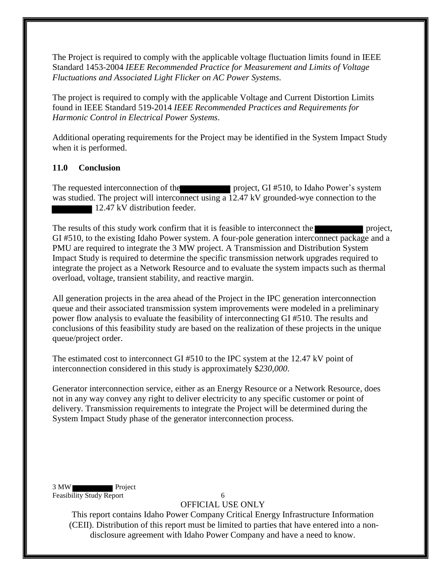The Project is required to comply with the applicable voltage fluctuation limits found in IEEE Standard 1453-2004 *IEEE Recommended Practice for Measurement and Limits of Voltage Fluctuations and Associated Light Flicker on AC Power Systems.* 

The project is required to comply with the applicable Voltage and Current Distortion Limits found in IEEE Standard 519-2014 *IEEE Recommended Practices and Requirements for Harmonic Control in Electrical Power Systems*.

Additional operating requirements for the Project may be identified in the System Impact Study when it is performed.

## <span id="page-9-0"></span>**11.0 Conclusion**

The requested interconnection of the project, GI #510, to Idaho Power's system was studied. The project will interconnect using a 12.47 kV grounded-wye connection to the 12.47 kV distribution feeder.

The results of this study work confirm that it is feasible to interconnect the project, GI #510, to the existing Idaho Power system. A four-pole generation interconnect package and a PMU are required to integrate the 3 MW project. A Transmission and Distribution System Impact Study is required to determine the specific transmission network upgrades required to integrate the project as a Network Resource and to evaluate the system impacts such as thermal overload, voltage, transient stability, and reactive margin.

All generation projects in the area ahead of the Project in the IPC generation interconnection queue and their associated transmission system improvements were modeled in a preliminary power flow analysis to evaluate the feasibility of interconnecting GI #510. The results and conclusions of this feasibility study are based on the realization of these projects in the unique queue/project order.

The estimated cost to interconnect GI #510 to the IPC system at the 12.47 kV point of interconnection considered in this study is approximately \$*230,000*.

Generator interconnection service, either as an Energy Resource or a Network Resource, does not in any way convey any right to deliver electricity to any specific customer or point of delivery. Transmission requirements to integrate the Project will be determined during the System Impact Study phase of the generator interconnection process.

3 MW Project Feasibility Study Report 6

OFFICIAL USE ONLY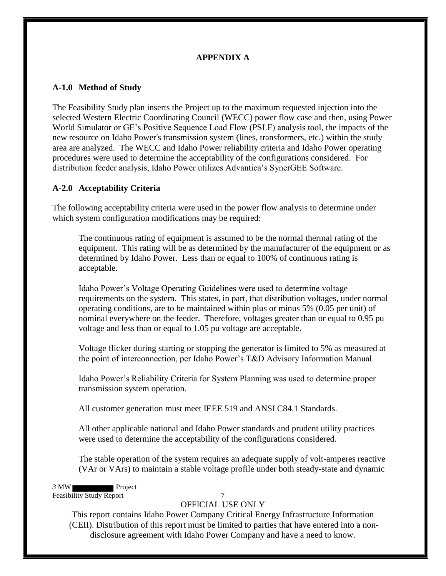## **APPENDIX A**

### <span id="page-10-1"></span><span id="page-10-0"></span>**A-1.0 Method of Study**

The Feasibility Study plan inserts the Project up to the maximum requested injection into the selected Western Electric Coordinating Council (WECC) power flow case and then, using Power World Simulator or GE's Positive Sequence Load Flow (PSLF) analysis tool, the impacts of the new resource on Idaho Power's transmission system (lines, transformers, etc.) within the study area are analyzed. The WECC and Idaho Power reliability criteria and Idaho Power operating procedures were used to determine the acceptability of the configurations considered. For distribution feeder analysis, Idaho Power utilizes Advantica's SynerGEE Software.

## <span id="page-10-2"></span>**A-2.0 Acceptability Criteria**

The following acceptability criteria were used in the power flow analysis to determine under which system configuration modifications may be required:

The continuous rating of equipment is assumed to be the normal thermal rating of the equipment. This rating will be as determined by the manufacturer of the equipment or as determined by Idaho Power. Less than or equal to 100% of continuous rating is acceptable.

Idaho Power's Voltage Operating Guidelines were used to determine voltage requirements on the system. This states, in part, that distribution voltages, under normal operating conditions, are to be maintained within plus or minus 5% (0.05 per unit) of nominal everywhere on the feeder. Therefore, voltages greater than or equal to 0.95 pu voltage and less than or equal to 1.05 pu voltage are acceptable.

Voltage flicker during starting or stopping the generator is limited to 5% as measured at the point of interconnection, per Idaho Power's T&D Advisory Information Manual.

Idaho Power's Reliability Criteria for System Planning was used to determine proper transmission system operation.

All customer generation must meet IEEE 519 and ANSI C84.1 Standards.

All other applicable national and Idaho Power standards and prudent utility practices were used to determine the acceptability of the configurations considered.

The stable operation of the system requires an adequate supply of volt-amperes reactive (VAr or VArs) to maintain a stable voltage profile under both steady-state and dynamic

*3* MW Project Feasibility Study Report 7

### OFFICIAL USE ONLY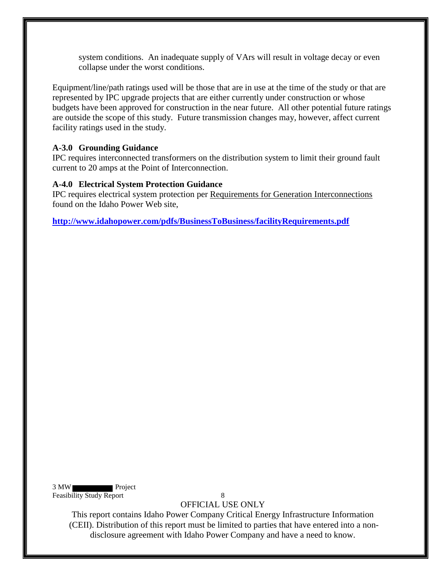system conditions. An inadequate supply of VArs will result in voltage decay or even collapse under the worst conditions.

Equipment/line/path ratings used will be those that are in use at the time of the study or that are represented by IPC upgrade projects that are either currently under construction or whose budgets have been approved for construction in the near future. All other potential future ratings are outside the scope of this study. Future transmission changes may, however, affect current facility ratings used in the study.

#### <span id="page-11-0"></span>**A-3.0 Grounding Guidance**

IPC requires interconnected transformers on the distribution system to limit their ground fault current to 20 amps at the Point of Interconnection.

#### <span id="page-11-1"></span>**A-4.0 Electrical System Protection Guidance**

IPC requires electrical system protection per Requirements for Generation Interconnections found on the Idaho Power Web site,

**<http://www.idahopower.com/pdfs/BusinessToBusiness/facilityRequirements.pdf>**

3 MW Project Feasibility Study Report 8

OFFICIAL USE ONLY